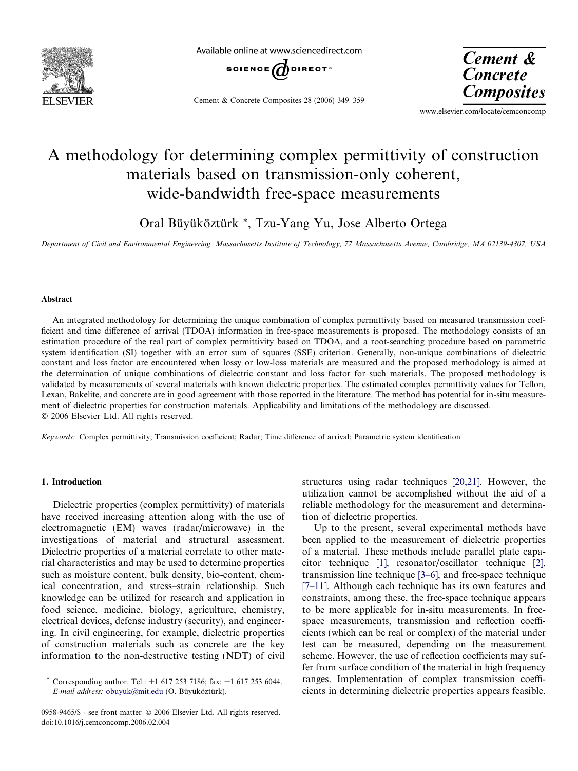

Available online at www.sciencedirect.com



Cement & Concrete Composites 28 (2006) 349–359

Cement & **Concrete Composites** 

www.elsevier.com/locate/cemconcomp

# A methodology for determining complex permittivity of construction materials based on transmission-only coherent, wide-bandwidth free-space measurements

Oral Büyüköztürk \*, Tzu-Yang Yu, Jose Alberto Ortega

Department of Civil and Environmental Engineering, Massachusetts Institute of Technology, 77 Massachusetts Avenue, Cambridge, MA 02139-4307, USA

## Abstract

An integrated methodology for determining the unique combination of complex permittivity based on measured transmission coefficient and time difference of arrival (TDOA) information in free-space measurements is proposed. The methodology consists of an estimation procedure of the real part of complex permittivity based on TDOA, and a root-searching procedure based on parametric system identification (SI) together with an error sum of squares (SSE) criterion. Generally, non-unique combinations of dielectric constant and loss factor are encountered when lossy or low-loss materials are measured and the proposed methodology is aimed at the determination of unique combinations of dielectric constant and loss factor for such materials. The proposed methodology is validated by measurements of several materials with known dielectric properties. The estimated complex permittivity values for Teflon, Lexan, Bakelite, and concrete are in good agreement with those reported in the literature. The method has potential for in-situ measurement of dielectric properties for construction materials. Applicability and limitations of the methodology are discussed.  $© 2006 Elsevier Ltd. All rights reserved.$ 

Keywords: Complex permittivity; Transmission coefficient; Radar; Time difference of arrival; Parametric system identification

# 1. Introduction

Dielectric properties (complex permittivity) of materials have received increasing attention along with the use of electromagnetic (EM) waves (radar/microwave) in the investigations of material and structural assessment. Dielectric properties of a material correlate to other material characteristics and may be used to determine properties such as moisture content, bulk density, bio-content, chemical concentration, and stress–strain relationship. Such knowledge can be utilized for research and application in food science, medicine, biology, agriculture, chemistry, electrical devices, defense industry (security), and engineering. In civil engineering, for example, dielectric properties of construction materials such as concrete are the key information to the non-destructive testing (NDT) of civil

0958-9465/\$ - see front matter © 2006 Elsevier Ltd. All rights reserved. doi:10.1016/j.cemconcomp.2006.02.004

structures using radar techniques [\[20,21\]](#page-10-0). However, the utilization cannot be accomplished without the aid of a reliable methodology for the measurement and determination of dielectric properties.

Up to the present, several experimental methods have been applied to the measurement of dielectric properties of a material. These methods include parallel plate capacitor technique [\[1\]](#page-9-0), resonator/oscillator technique [\[2\],](#page-9-0) transmission line technique [\[3–6\]](#page-9-0), and free-space technique [\[7–11\].](#page-9-0) Although each technique has its own features and constraints, among these, the free-space technique appears to be more applicable for in-situ measurements. In freespace measurements, transmission and reflection coefficients (which can be real or complex) of the material under test can be measured, depending on the measurement scheme. However, the use of reflection coefficients may suffer from surface condition of the material in high frequency ranges. Implementation of complex transmission coefficients in determining dielectric properties appears feasible.

Corresponding author. Tel.:  $+1$  617 253 7186; fax:  $+1$  617 253 6044. E-mail address: [obuyuk@mit.edu](mailto:obuyuk@mit.edu) (O. Büyüköztürk).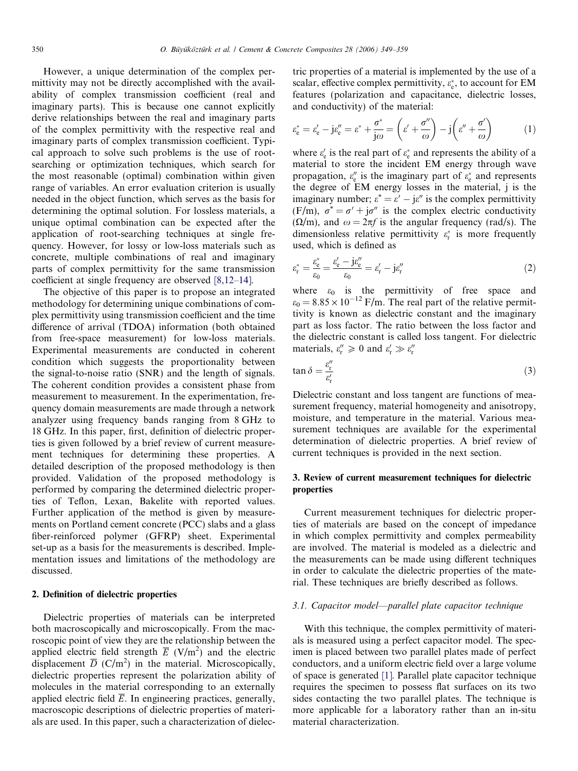However, a unique determination of the complex permittivity may not be directly accomplished with the availability of complex transmission coefficient (real and imaginary parts). This is because one cannot explicitly derive relationships between the real and imaginary parts of the complex permittivity with the respective real and imaginary parts of complex transmission coefficient. Typical approach to solve such problems is the use of rootsearching or optimization techniques, which search for the most reasonable (optimal) combination within given range of variables. An error evaluation criterion is usually needed in the object function, which serves as the basis for determining the optimal solution. For lossless materials, a unique optimal combination can be expected after the application of root-searching techniques at single frequency. However, for lossy or low-loss materials such as concrete, multiple combinations of real and imaginary parts of complex permittivity for the same transmission coefficient at single frequency are observed [\[8,12–14\].](#page-9-0)

The objective of this paper is to propose an integrated methodology for determining unique combinations of complex permittivity using transmission coefficient and the time difference of arrival (TDOA) information (both obtained from free-space measurement) for low-loss materials. Experimental measurements are conducted in coherent condition which suggests the proportionality between the signal-to-noise ratio (SNR) and the length of signals. The coherent condition provides a consistent phase from measurement to measurement. In the experimentation, frequency domain measurements are made through a network analyzer using frequency bands ranging from 8 GHz to 18 GHz. In this paper, first, definition of dielectric properties is given followed by a brief review of current measurement techniques for determining these properties. A detailed description of the proposed methodology is then provided. Validation of the proposed methodology is performed by comparing the determined dielectric properties of Teflon, Lexan, Bakelite with reported values. Further application of the method is given by measurements on Portland cement concrete (PCC) slabs and a glass fiber-reinforced polymer (GFRP) sheet. Experimental set-up as a basis for the measurements is described. Implementation issues and limitations of the methodology are discussed.

# 2. Definition of dielectric properties

Dielectric properties of materials can be interpreted both macroscopically and microscopically. From the macroscopic point of view they are the relationship between the applied electric field strength  $\overline{E}$  (V/m<sup>2</sup>) and the electric displacement  $\overline{D}$  (C/m<sup>2</sup>) in the material. Microscopically, dielectric properties represent the polarization ability of molecules in the material corresponding to an externally applied electric field  $\overline{E}$ . In engineering practices, generally, macroscopic descriptions of dielectric properties of materials are used. In this paper, such a characterization of dielectric properties of a material is implemented by the use of a scalar, effective complex permittivity,  $\varepsilon_e^*$ , to account for EM features (polarization and capacitance, dielectric losses, and conductivity) of the material:

$$
\varepsilon_{\rm e}^* = \varepsilon_{\rm e}' - j\varepsilon_{\rm e}'' = \varepsilon^* + \frac{\sigma^*}{j\omega} = \left(\varepsilon' + \frac{\sigma''}{\omega}\right) - j\left(\varepsilon'' + \frac{\sigma'}{\omega}\right) \tag{1}
$$

where  $\varepsilon'_{e}$  is the real part of  $\varepsilon_{e}^{*}$  and represents the ability of a material to store the incident EM energy through wave propagation,  $\varepsilon_{e}^{\prime\prime}$  is the imaginary part of  $\varepsilon_{e}^{*}$  and represents the degree of EM energy losses in the material, j is the imaginary number;  $\varepsilon^* = \varepsilon' - j\varepsilon''$  is the complex permittivity (F/m),  $\sigma^* = \sigma' + j\sigma''$  is the complex electric conductivity  $(\Omega/m)$ , and  $\omega = 2\pi f$  is the angular frequency (rad/s). The dimensionless relative permittivity  $\varepsilon_{\rm r}^*$  is more frequently used, which is defined as

$$
\varepsilon_{\rm r}^* = \frac{\varepsilon_{\rm e}^*}{\varepsilon_0} = \frac{\varepsilon_{\rm e}' - j\varepsilon_{\rm e}''}{\varepsilon_0} = \varepsilon_{\rm r}' - j\varepsilon_{\rm r}'' \tag{2}
$$

where  $\varepsilon_0$  is the permittivity of free space and  $\varepsilon_0 = 8.85 \times 10^{-12}$  F/m. The real part of the relative permittivity is known as dielectric constant and the imaginary part as loss factor. The ratio between the loss factor and the dielectric constant is called loss tangent. For dielectric materials,  $\varepsilon_{\rm r}'' \geq 0$  and  $\varepsilon_{\rm r}' \gg \varepsilon_{\rm r}''$ 

$$
\tan \delta = \frac{\varepsilon_{\rm r}^{\prime\prime}}{\varepsilon_{\rm r}^{\prime}} \tag{3}
$$

Dielectric constant and loss tangent are functions of measurement frequency, material homogeneity and anisotropy, moisture, and temperature in the material. Various measurement techniques are available for the experimental determination of dielectric properties. A brief review of current techniques is provided in the next section.

# 3. Review of current measurement techniques for dielectric properties

Current measurement techniques for dielectric properties of materials are based on the concept of impedance in which complex permittivity and complex permeability are involved. The material is modeled as a dielectric and the measurements can be made using different techniques in order to calculate the dielectric properties of the material. These techniques are briefly described as follows.

# 3.1. Capacitor model—parallel plate capacitor technique

With this technique, the complex permittivity of materials is measured using a perfect capacitor model. The specimen is placed between two parallel plates made of perfect conductors, and a uniform electric field over a large volume of space is generated [\[1\].](#page-9-0) Parallel plate capacitor technique requires the specimen to possess flat surfaces on its two sides contacting the two parallel plates. The technique is more applicable for a laboratory rather than an in-situ material characterization.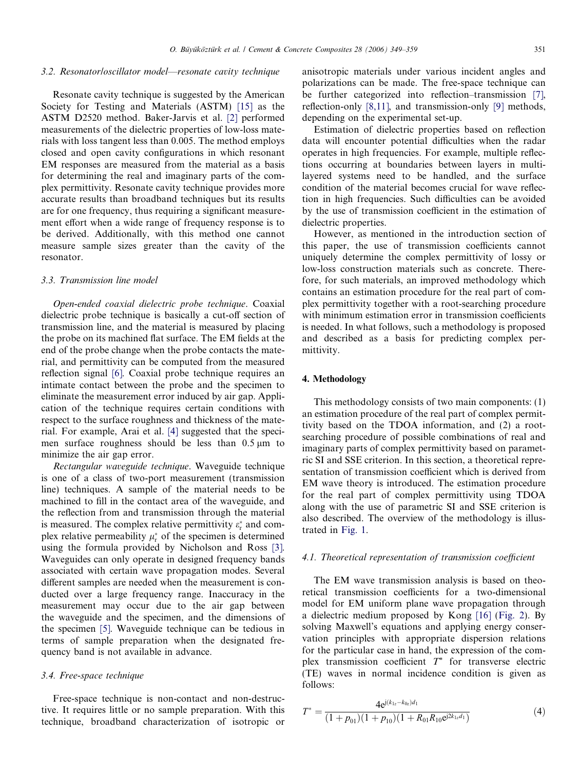### <span id="page-2-0"></span>3.2. Resonator/oscillator model—resonate cavity technique

Resonate cavity technique is suggested by the American Society for Testing and Materials (ASTM) [\[15\]](#page-10-0) as the ASTM D2520 method. Baker-Jarvis et al. [\[2\]](#page-9-0) performed measurements of the dielectric properties of low-loss materials with loss tangent less than 0.005. The method employs closed and open cavity configurations in which resonant EM responses are measured from the material as a basis for determining the real and imaginary parts of the complex permittivity. Resonate cavity technique provides more accurate results than broadband techniques but its results are for one frequency, thus requiring a significant measurement effort when a wide range of frequency response is to be derived. Additionally, with this method one cannot measure sample sizes greater than the cavity of the resonator.

### 3.3. Transmission line model

Open-ended coaxial dielectric probe technique. Coaxial dielectric probe technique is basically a cut-off section of transmission line, and the material is measured by placing the probe on its machined flat surface. The EM fields at the end of the probe change when the probe contacts the material, and permittivity can be computed from the measured reflection signal [\[6\].](#page-9-0) Coaxial probe technique requires an intimate contact between the probe and the specimen to eliminate the measurement error induced by air gap. Application of the technique requires certain conditions with respect to the surface roughness and thickness of the material. For example, Arai et al. [\[4\]](#page-9-0) suggested that the specimen surface roughness should be less than  $0.5 \mu m$  to minimize the air gap error.

Rectangular waveguide technique. Waveguide technique is one of a class of two-port measurement (transmission line) techniques. A sample of the material needs to be machined to fill in the contact area of the waveguide, and the reflection from and transmission through the material is measured. The complex relative permittivity  $\varepsilon_r^*$  and complex relative permeability  $\mu_r^*$  of the specimen is determined using the formula provided by Nicholson and Ross [\[3\].](#page-9-0) Waveguides can only operate in designed frequency bands associated with certain wave propagation modes. Several different samples are needed when the measurement is conducted over a large frequency range. Inaccuracy in the measurement may occur due to the air gap between the waveguide and the specimen, and the dimensions of the specimen [\[5\]](#page-9-0). Waveguide technique can be tedious in terms of sample preparation when the designated frequency band is not available in advance.

# 3.4. Free-space technique

Free-space technique is non-contact and non-destructive. It requires little or no sample preparation. With this technique, broadband characterization of isotropic or anisotropic materials under various incident angles and polarizations can be made. The free-space technique can be further categorized into reflection–transmission [\[7\],](#page-9-0) reflection-only [\[8,11\],](#page-9-0) and transmission-only [\[9\]](#page-9-0) methods, depending on the experimental set-up.

Estimation of dielectric properties based on reflection data will encounter potential difficulties when the radar operates in high frequencies. For example, multiple reflections occurring at boundaries between layers in multilayered systems need to be handled, and the surface condition of the material becomes crucial for wave reflection in high frequencies. Such difficulties can be avoided by the use of transmission coefficient in the estimation of dielectric properties.

However, as mentioned in the introduction section of this paper, the use of transmission coefficients cannot uniquely determine the complex permittivity of lossy or low-loss construction materials such as concrete. Therefore, for such materials, an improved methodology which contains an estimation procedure for the real part of complex permittivity together with a root-searching procedure with minimum estimation error in transmission coefficients is needed. In what follows, such a methodology is proposed and described as a basis for predicting complex permittivity.

### 4. Methodology

This methodology consists of two main components: (1) an estimation procedure of the real part of complex permittivity based on the TDOA information, and (2) a rootsearching procedure of possible combinations of real and imaginary parts of complex permittivity based on parametric SI and SSE criterion. In this section, a theoretical representation of transmission coefficient which is derived from EM wave theory is introduced. The estimation procedure for the real part of complex permittivity using TDOA along with the use of parametric SI and SSE criterion is also described. The overview of the methodology is illustrated in [Fig. 1](#page-3-0).

## 4.1. Theoretical representation of transmission coefficient

The EM wave transmission analysis is based on theoretical transmission coefficients for a two-dimensional model for EM uniform plane wave propagation through a dielectric medium proposed by Kong [\[16\]](#page-10-0) ([Fig. 2](#page-3-0)). By solving Maxwell's equations and applying energy conservation principles with appropriate dispersion relations for the particular case in hand, the expression of the complex transmission coefficient  $T^*$  for transverse electric (TE) waves in normal incidence condition is given as follows:

$$
T^* = \frac{4e^{j(k_{1z}-k_{0z})d_1}}{(1+p_{01})(1+p_{10})(1+R_{01}R_{10}e^{j2k_{1z}d_1})}
$$
(4)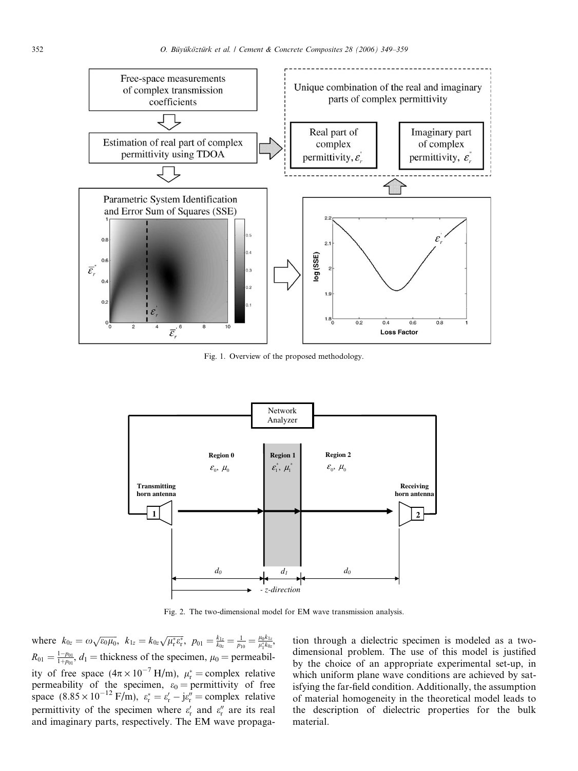<span id="page-3-0"></span>

Fig. 1. Overview of the proposed methodology.



Fig. 2. The two-dimensional model for EM wave transmission analysis.

where  $k_{0z} = \omega \sqrt{\varepsilon_0 \mu_0}$ ,  $k_{1z} = k_{0z} \sqrt{\mu_\text{r}^* \varepsilon_\text{r}^*}$ ,  $p_{01} = \frac{k_{1z}}{k_{0z}} = \frac{1}{p_{10}} = \frac{\mu_0 k_{1z}}{\mu_\text{r}^* k_{0z}}$ ,  $R_{01} = \frac{1-p_{01}}{1+p_{01}}$ ,  $d_1$  = thickness of the specimen,  $\mu_0$  = permeability of free space  $(4\pi \times 10^{-7} \text{ H/m})$ ,  $\mu_r^* =$ complex relative permeability of the specimen,  $\varepsilon_0$  = permittivity of free space  $(8.85 \times 10^{-12} \text{ F/m})$ ,  $\varepsilon_r^* = \varepsilon_r' - \text{j}\varepsilon_r'' = \text{complex relative}$ permittivity of the specimen where  $\varepsilon'_{r}$  and  $\varepsilon''_{r}$  are its real and imaginary parts, respectively. The EM wave propaga-

tion through a dielectric specimen is modeled as a twodimensional problem. The use of this model is justified by the choice of an appropriate experimental set-up, in which uniform plane wave conditions are achieved by satisfying the far-field condition. Additionally, the assumption of material homogeneity in the theoretical model leads to the description of dielectric properties for the bulk material.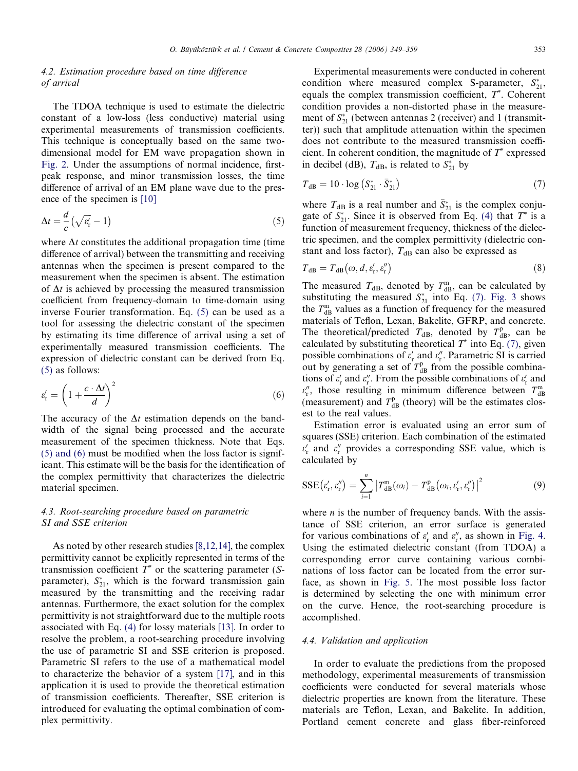# <span id="page-4-0"></span>4.2. Estimation procedure based on time difference of arrival

The TDOA technique is used to estimate the dielectric constant of a low-loss (less conductive) material using experimental measurements of transmission coefficients. This technique is conceptually based on the same twodimensional model for EM wave propagation shown in [Fig. 2](#page-3-0). Under the assumptions of normal incidence, firstpeak response, and minor transmission losses, the time difference of arrival of an EM plane wave due to the presence of the specimen is [\[10\]](#page-9-0)

$$
\Delta t = \frac{d}{c} \left( \sqrt{\varepsilon_{\rm r}^{\prime}} - 1 \right) \tag{5}
$$

where  $\Delta t$  constitutes the additional propagation time (time difference of arrival) between the transmitting and receiving antennas when the specimen is present compared to the measurement when the specimen is absent. The estimation of  $\Delta t$  is achieved by processing the measured transmission coefficient from frequency-domain to time-domain using inverse Fourier transformation. Eq. (5) can be used as a tool for assessing the dielectric constant of the specimen by estimating its time difference of arrival using a set of experimentally measured transmission coefficients. The expression of dielectric constant can be derived from Eq. (5) as follows:

$$
\varepsilon_{\rm r}^{\prime} = \left(1 + \frac{c \cdot \Delta t}{d}\right)^2\tag{6}
$$

The accuracy of the  $\Delta t$  estimation depends on the bandwidth of the signal being processed and the accurate measurement of the specimen thickness. Note that Eqs. (5) and (6) must be modified when the loss factor is significant. This estimate will be the basis for the identification of the complex permittivity that characterizes the dielectric material specimen.

# 4.3. Root-searching procedure based on parametric SI and SSE criterion

As noted by other research studies [\[8,12,14\]](#page-9-0), the complex permittivity cannot be explicitly represented in terms of the transmission coefficient  $T^*$  or the scattering parameter ( $S$ parameter),  $S_{21}^*$ , which is the forward transmission gain measured by the transmitting and the receiving radar antennas. Furthermore, the exact solution for the complex permittivity is not straightforward due to the multiple roots associated with Eq. [\(4\)](#page-2-0) for lossy materials [\[13\]](#page-10-0). In order to resolve the problem, a root-searching procedure involving the use of parametric SI and SSE criterion is proposed. Parametric SI refers to the use of a mathematical model to characterize the behavior of a system [\[17\]](#page-10-0), and in this application it is used to provide the theoretical estimation of transmission coefficients. Thereafter, SSE criterion is introduced for evaluating the optimal combination of complex permittivity.

Experimental measurements were conducted in coherent condition where measured complex S-parameter,  $S_{21}^*$ , equals the complex transmission coefficient,  $T^*$ . Coherent condition provides a non-distorted phase in the measurement of  $S_{21}^*$  (between antennas 2 (receiver) and 1 (transmitter)) such that amplitude attenuation within the specimen does not contribute to the measured transmission coefficient. In coherent condition, the magnitude of  $T^*$  expressed in decibel (dB),  $T_{dB}$ , is related to  $S_{21}^*$  by

$$
T_{\rm dB} = 10 \cdot \log \left( S_{21}^* \cdot \bar{S}_{21}^* \right) \tag{7}
$$

where  $T_{dB}$  is a real number and  $\bar{S}_{21}^*$  is the complex conjugate of  $S_{21}^*$ . Since it is observed from Eq. [\(4\)](#page-2-0) that  $T^*$  is a function of measurement frequency, thickness of the dielectric specimen, and the complex permittivity (dielectric constant and loss factor),  $T_{dB}$  can also be expressed as

$$
T_{\text{dB}} = T_{\text{dB}}(\omega, d, \varepsilon_{\text{r}}', \varepsilon_{\text{r}}'') \tag{8}
$$

The measured  $T_{dB}$ , denoted by  $T_{dB}^{m}$ , can be calculated by substituting the measured  $S_{21}^*$  into Eq. (7). [Fig. 3](#page-5-0) shows the  $T_{\text{dB}}^{\text{m}}$  values as a function of frequency for the measured materials of Teflon, Lexan, Bakelite, GFRP, and concrete. The theoretical/predicted  $T_{\text{dB}}$ , denoted by  $T_{\text{dB}}^{\text{p}}$ , can be calculated by substituting theoretical  $T^*$  into Eq. (7), given possible combinations of  $\varepsilon'_{r}$  and  $\varepsilon''_{r}$ . Parametric SI is carried out by generating a set of  $T_{\text{dB}}^{\text{p}}$  from the possible combinations of  $\varepsilon'_{r}$  and  $\varepsilon''_{r}$ . From the possible combinations of  $\varepsilon'_{r}$  and  $\varepsilon_{\rm r}^{\rm w}$ , those resulting in minimum difference between  $T_{\rm dB}^{\rm m}$  (measurement) and  $T_{\rm dB}^{\rm p}$  (theory) will be the estimates closest to the real values.

Estimation error is evaluated using an error sum of squares (SSE) criterion. Each combination of the estimated  $\varepsilon_{\rm r}^{\prime}$  and  $\varepsilon_{\rm r}^{\prime\prime}$  provides a corresponding SSE value, which is calculated by

$$
SSE\left(\varepsilon_{\rm r}', \varepsilon_{\rm r}''\right) = \sum_{i=1}^{n} \left|T_{\rm dB}^{\rm m}(\omega_i) - T_{\rm dB}^{\rm p}\left(\omega_i, \varepsilon_{\rm r}', \varepsilon_{\rm r}''\right)\right|^2 \tag{9}
$$

where  $n$  is the number of frequency bands. With the assistance of SSE criterion, an error surface is generated for various combinations of  $\varepsilon'_{r}$  and  $\varepsilon''_{r}$ , as shown in [Fig. 4.](#page-6-0) Using the estimated dielectric constant (from TDOA) a corresponding error curve containing various combinations of loss factor can be located from the error surface, as shown in [Fig. 5.](#page-7-0) The most possible loss factor is determined by selecting the one with minimum error on the curve. Hence, the root-searching procedure is accomplished.

### 4.4. Validation and application

In order to evaluate the predictions from the proposed methodology, experimental measurements of transmission coefficients were conducted for several materials whose dielectric properties are known from the literature. These materials are Teflon, Lexan, and Bakelite. In addition, Portland cement concrete and glass fiber-reinforced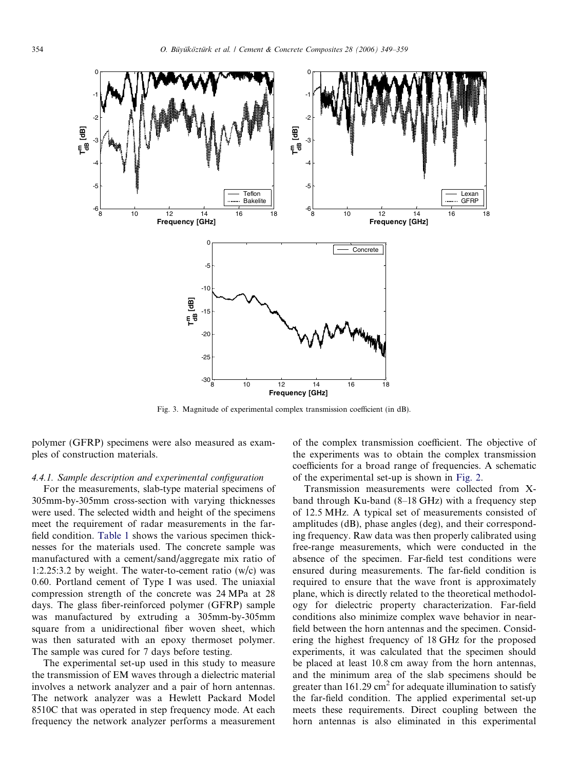<span id="page-5-0"></span>

Fig. 3. Magnitude of experimental complex transmission coefficient (in dB).

polymer (GFRP) specimens were also measured as examples of construction materials.

#### 4.4.1. Sample description and experimental configuration

For the measurements, slab-type material specimens of 305mm-by-305mm cross-section with varying thicknesses were used. The selected width and height of the specimens meet the requirement of radar measurements in the farfield condition. [Table 1](#page-7-0) shows the various specimen thicknesses for the materials used. The concrete sample was manufactured with a cement/sand/aggregate mix ratio of 1:2.25:3.2 by weight. The water-to-cement ratio  $(w/c)$  was 0.60. Portland cement of Type I was used. The uniaxial compression strength of the concrete was 24 MPa at 28 days. The glass fiber-reinforced polymer (GFRP) sample was manufactured by extruding a 305mm-by-305mm square from a unidirectional fiber woven sheet, which was then saturated with an epoxy thermoset polymer. The sample was cured for 7 days before testing.

The experimental set-up used in this study to measure the transmission of EM waves through a dielectric material involves a network analyzer and a pair of horn antennas. The network analyzer was a Hewlett Packard Model 8510C that was operated in step frequency mode. At each frequency the network analyzer performs a measurement of the complex transmission coefficient. The objective of the experiments was to obtain the complex transmission coefficients for a broad range of frequencies. A schematic of the experimental set-up is shown in [Fig. 2](#page-3-0).

Transmission measurements were collected from Xband through Ku-band (8–18 GHz) with a frequency step of 12.5 MHz. A typical set of measurements consisted of amplitudes (dB), phase angles (deg), and their corresponding frequency. Raw data was then properly calibrated using free-range measurements, which were conducted in the absence of the specimen. Far-field test conditions were ensured during measurements. The far-field condition is required to ensure that the wave front is approximately plane, which is directly related to the theoretical methodology for dielectric property characterization. Far-field conditions also minimize complex wave behavior in nearfield between the horn antennas and the specimen. Considering the highest frequency of 18 GHz for the proposed experiments, it was calculated that the specimen should be placed at least 10.8 cm away from the horn antennas, and the minimum area of the slab specimens should be greater than  $161.29 \text{ cm}^2$  for adequate illumination to satisfy the far-field condition. The applied experimental set-up meets these requirements. Direct coupling between the horn antennas is also eliminated in this experimental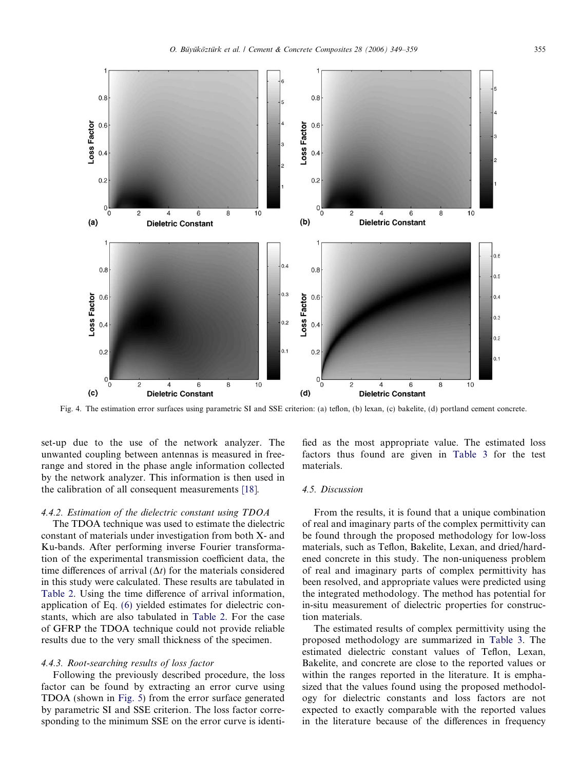<span id="page-6-0"></span>

Fig. 4. The estimation error surfaces using parametric SI and SSE criterion: (a) teflon, (b) lexan, (c) bakelite, (d) portland cement concrete.

set-up due to the use of the network analyzer. The unwanted coupling between antennas is measured in freerange and stored in the phase angle information collected by the network analyzer. This information is then used in the calibration of all consequent measurements [\[18\].](#page-10-0)

# 4.4.2. Estimation of the dielectric constant using TDOA

The TDOA technique was used to estimate the dielectric constant of materials under investigation from both X- and Ku-bands. After performing inverse Fourier transformation of the experimental transmission coefficient data, the time differences of arrival  $(\Delta t)$  for the materials considered in this study were calculated. These results are tabulated in [Table 2.](#page-7-0) Using the time difference of arrival information, application of Eq. [\(6\)](#page-4-0) yielded estimates for dielectric constants, which are also tabulated in [Table 2.](#page-7-0) For the case of GFRP the TDOA technique could not provide reliable results due to the very small thickness of the specimen.

# 4.4.3. Root-searching results of loss factor

Following the previously described procedure, the loss factor can be found by extracting an error curve using TDOA (shown in [Fig. 5\)](#page-7-0) from the error surface generated by parametric SI and SSE criterion. The loss factor corresponding to the minimum SSE on the error curve is identified as the most appropriate value. The estimated loss factors thus found are given in [Table 3](#page-7-0) for the test materials.

# 4.5. Discussion

From the results, it is found that a unique combination of real and imaginary parts of the complex permittivity can be found through the proposed methodology for low-loss materials, such as Teflon, Bakelite, Lexan, and dried/hardened concrete in this study. The non-uniqueness problem of real and imaginary parts of complex permittivity has been resolved, and appropriate values were predicted using the integrated methodology. The method has potential for in-situ measurement of dielectric properties for construction materials.

The estimated results of complex permittivity using the proposed methodology are summarized in [Table 3](#page-7-0). The estimated dielectric constant values of Teflon, Lexan, Bakelite, and concrete are close to the reported values or within the ranges reported in the literature. It is emphasized that the values found using the proposed methodology for dielectric constants and loss factors are not expected to exactly comparable with the reported values in the literature because of the differences in frequency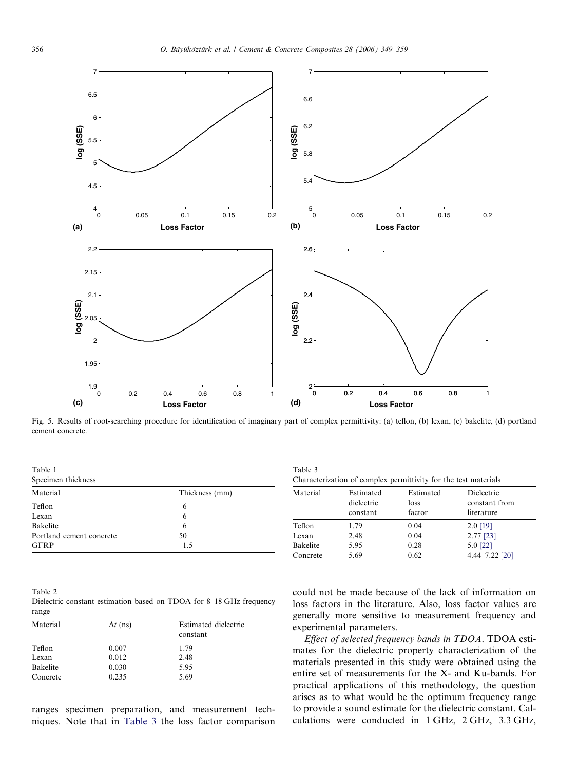<span id="page-7-0"></span>

Fig. 5. Results of root-searching procedure for identification of imaginary part of complex permittivity: (a) teflon, (b) lexan, (c) bakelite, (d) portland cement concrete.

Table 1

| Specimen thickness       |                |  |  |  |  |
|--------------------------|----------------|--|--|--|--|
| Material                 | Thickness (mm) |  |  |  |  |
| Teflon                   | 6              |  |  |  |  |
| Lexan                    | 6              |  |  |  |  |
| <b>Bakelite</b>          | 6              |  |  |  |  |
| Portland cement concrete | 50             |  |  |  |  |
| <b>GFRP</b>              | 15             |  |  |  |  |

Table 2 Dielectric constant estimation based on TDOA for 8–18 GHz frequency range

| $\cdots$ |                 |                                  |  |  |
|----------|-----------------|----------------------------------|--|--|
| Material | $\Delta t$ (ns) | Estimated dielectric<br>constant |  |  |
| Teflon   | 0.007           | 1.79                             |  |  |
| Lexan    | 0.012           | 2.48                             |  |  |
| Bakelite | 0.030           | 5.95                             |  |  |
| Concrete | 0.235           | 5.69                             |  |  |

ranges specimen preparation, and measurement techniques. Note that in Table 3 the loss factor comparison

Table 3 Characterization of complex permittivity for the test materials

| Material | Estimated  | Estimated | Dielectric         |
|----------|------------|-----------|--------------------|
|          | dielectric | loss      | constant from      |
|          | constant   | factor    | literature         |
| Teflon   | 1.79       | 0.04      | $2.0$ [19]         |
| Lexan    | 2.48       | 0.04      | 2.77 [23]          |
| Bakelite | 5.95       | 0.28      | $5.0$ [22]         |
| Concrete | 5.69       | 0.62      | $4.44 - 7.22$ [20] |

could not be made because of the lack of information on loss factors in the literature. Also, loss factor values are generally more sensitive to measurement frequency and experimental parameters.

Effect of selected frequency bands in TDOA. TDOA estimates for the dielectric property characterization of the materials presented in this study were obtained using the entire set of measurements for the X- and Ku-bands. For practical applications of this methodology, the question arises as to what would be the optimum frequency range to provide a sound estimate for the dielectric constant. Calculations were conducted in 1 GHz, 2 GHz, 3.3 GHz,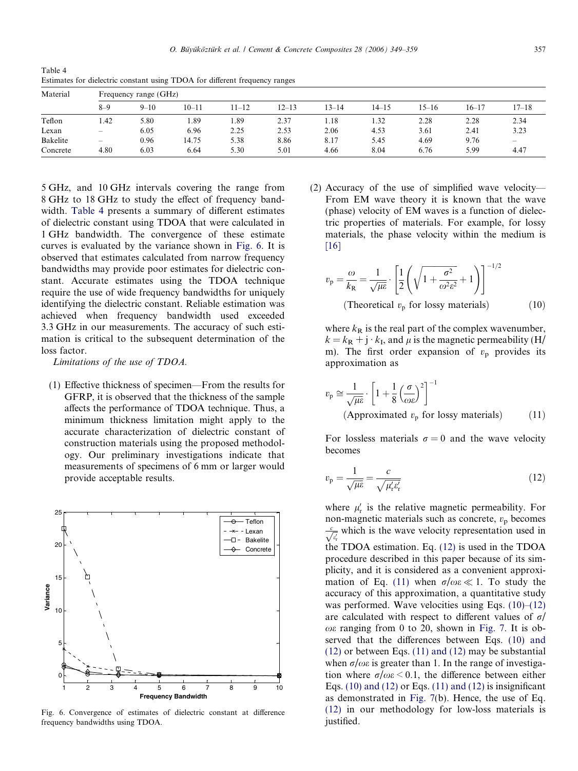Table 4 Estimates for dielectric constant using TDOA for different frequency ranges

| Material |         | Frequency range (GHz) |           |           |       |           |           |       |           |                   |
|----------|---------|-----------------------|-----------|-----------|-------|-----------|-----------|-------|-----------|-------------------|
|          | $8 - 9$ | $9 - 10$              | $10 - 11$ | $11 - 12$ | 12–13 | $13 - 14$ | $14 - 15$ | 15–16 | $16 - 17$ | $17 - 18$         |
| Teflon   | .42     | 5.80                  | 1.89      | 1.89      | 2.37  | 1.18      | 1.32      | 2.28  | 2.28      | 2.34              |
| Lexan    |         | 6.05                  | 6.96      | 2.25      | 2.53  | 2.06      | 4.53      | 3.61  | 2.41      | 3.23              |
| Bakelite | -       | 0.96                  | 14.75     | 5.38      | 8.86  | 8.17      | 5.45      | 4.69  | 9.76      | $\hspace{0.05cm}$ |
| Concrete | 4.80    | 6.03                  | 6.64      | 5.30      | 5.01  | 4.66      | 8.04      | 6.76  | 5.99      | 4.47              |

5 GHz, and 10 GHz intervals covering the range from 8 GHz to 18 GHz to study the effect of frequency bandwidth. Table 4 presents a summary of different estimates of dielectric constant using TDOA that were calculated in 1 GHz bandwidth. The convergence of these estimate curves is evaluated by the variance shown in Fig. 6. It is observed that estimates calculated from narrow frequency bandwidths may provide poor estimates for dielectric constant. Accurate estimates using the TDOA technique require the use of wide frequency bandwidths for uniquely identifying the dielectric constant. Reliable estimation was achieved when frequency bandwidth used exceeded 3.3 GHz in our measurements. The accuracy of such estimation is critical to the subsequent determination of the loss factor.

Limitations of the use of TDOA.

(1) Effective thickness of specimen—From the results for GFRP, it is observed that the thickness of the sample affects the performance of TDOA technique. Thus, a minimum thickness limitation might apply to the accurate characterization of dielectric constant of construction materials using the proposed methodology. Our preliminary investigations indicate that measurements of specimens of 6 mm or larger would provide acceptable results.



Fig. 6. Convergence of estimates of dielectric constant at difference frequency bandwidths using TDOA.

(2) Accuracy of the use of simplified wave velocity— From EM wave theory it is known that the wave (phase) velocity of EM waves is a function of dielectric properties of materials. For example, for lossy materials, the phase velocity within the medium is [\[16\]](#page-10-0)

$$
v_{\rm p} = \frac{\omega}{k_{\rm R}} = \frac{1}{\sqrt{\mu \varepsilon}} \cdot \left[ \frac{1}{2} \left( \sqrt{1 + \frac{\sigma^2}{\omega^2 \varepsilon^2}} + 1 \right) \right]^{-1/2}
$$
  
(Theoretical  $v_{\rm p}$  for lossy materials) (10)

where  $k_{\text{R}}$  is the real part of the complex wavenumber,  $k = k_{\rm R} + j \cdot k_{\rm I}$ , and  $\mu$  is the magnetic permeability (H/ m). The first order expansion of  $v_p$  provides its approximation as

$$
v_{\rm p} \approx \frac{1}{\sqrt{\mu \varepsilon}} \cdot \left[ 1 + \frac{1}{8} \left( \frac{\sigma}{\omega \varepsilon} \right)^2 \right]^{-1}
$$
  
(Approximated  $v_{\rm p}$  for lossy materials) (11)

For lossless materials  $\sigma = 0$  and the wave velocity becomes

$$
v_{\rm p} = \frac{1}{\sqrt{\mu \varepsilon}} = \frac{c}{\sqrt{\mu_{\rm r}' \varepsilon_{\rm r}'}}
$$
(12)

where  $\mu'_r$  is the relative magnetic permeability. For non-magnetic materials such as concrete,  $v_p$  becomes  $\frac{c}{\sqrt{\epsilon_r}}$  which is the wave velocity representation used in the TDOA estimation. Eq. (12) is used in the TDOA procedure described in this paper because of its simplicity, and it is considered as a convenient approximation of Eq. (11) when  $\sigma/\omega \ll 1$ . To study the accuracy of this approximation, a quantitative study was performed. Wave velocities using Eqs.  $(10)$ – $(12)$ are calculated with respect to different values of  $\sigma$ /  $\omega \varepsilon$  ranging from 0 to 20, shown in [Fig. 7.](#page-9-0) It is observed that the differences between Eqs. (10) and (12) or between Eqs. (11) and (12) may be substantial when  $\sigma/\omega\epsilon$  is greater than 1. In the range of investigation where  $\sigma/\omega \epsilon \leq 0.1$ , the difference between either Eqs.  $(10)$  and  $(12)$  or Eqs.  $(11)$  and  $(12)$  is insignificant as demonstrated in [Fig. 7](#page-9-0)(b). Hence, the use of Eq. (12) in our methodology for low-loss materials is justified.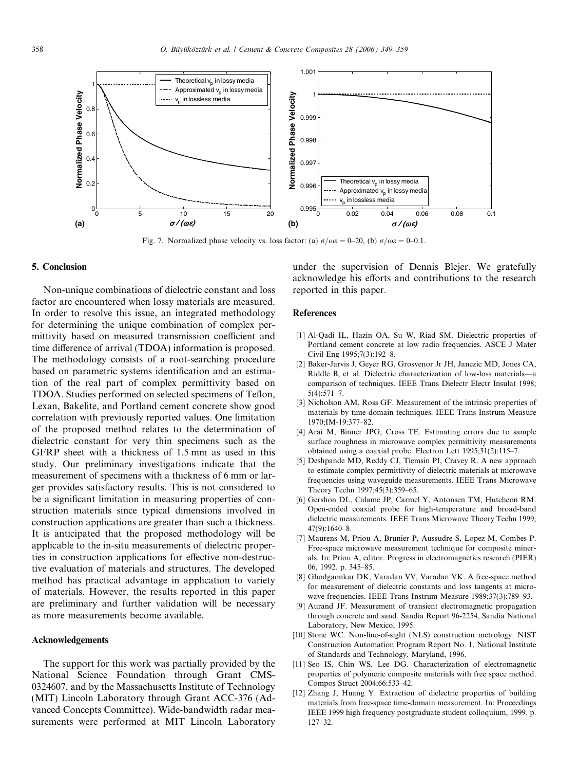<span id="page-9-0"></span>

Fig. 7. Normalized phase velocity vs. loss factor: (a)  $\sigma/\omega \epsilon = 0$ –20, (b)  $\sigma/\omega \epsilon = 0$ –0.1.

#### 5. Conclusion

Non-unique combinations of dielectric constant and loss factor are encountered when lossy materials are measured. In order to resolve this issue, an integrated methodology for determining the unique combination of complex permittivity based on measured transmission coefficient and time difference of arrival (TDOA) information is proposed. The methodology consists of a root-searching procedure based on parametric systems identification and an estimation of the real part of complex permittivity based on TDOA. Studies performed on selected specimens of Teflon, Lexan, Bakelite, and Portland cement concrete show good correlation with previously reported values. One limitation of the proposed method relates to the determination of dielectric constant for very thin specimens such as the GFRP sheet with a thickness of 1.5 mm as used in this study. Our preliminary investigations indicate that the measurement of specimens with a thickness of 6 mm or larger provides satisfactory results. This is not considered to be a significant limitation in measuring properties of construction materials since typical dimensions involved in construction applications are greater than such a thickness. It is anticipated that the proposed methodology will be applicable to the in-situ measurements of dielectric properties in construction applications for effective non-destructive evaluation of materials and structures. The developed method has practical advantage in application to variety of materials. However, the results reported in this paper are preliminary and further validation will be necessary as more measurements become available.

### Acknowledgements

The support for this work was partially provided by the National Science Foundation through Grant CMS-0324607, and by the Massachusetts Institute of Technology (MIT) Lincoln Laboratory through Grant ACC-376 (Advanced Concepts Committee). Wide-bandwidth radar measurements were performed at MIT Lincoln Laboratory

under the supervision of Dennis Blejer. We gratefully acknowledge his efforts and contributions to the research reported in this paper.

#### References

- [1] Al-Qadi IL, Hazin OA, Su W, Riad SM. Dielectric properties of Portland cement concrete at low radio frequencies. ASCE J Mater Civil Eng 1995;7(3):192–8.
- [2] Baker-Jarvis J, Geyer RG, Grosvenor Jr JH, Janezic MD, Jones CA, Riddle B, et al. Dielectric characterization of low-loss materials—a comparison of techniques. IEEE Trans Dielectr Electr Insulat 1998; 5(4):571–7.
- [3] Nicholson AM, Ross GF. Measurement of the intrinsic properties of materials by time domain techniques. IEEE Trans Instrum Measure 1970;IM-19:377–82.
- [4] Arai M, Binner JPG, Cross TE. Estimating errors due to sample surface roughness in microwave complex permittivity measurements obtained using a coaxial probe. Electron Lett 1995;31(2):115–7.
- [5] Deshpande MD, Reddy CJ, Tiemsin PI, Cravey R. A new approach to estimate complex permittivity of dielectric materials at microwave frequencies using waveguide measurements. IEEE Trans Microwave Theory Techn 1997;45(3):359–65.
- [6] Gershon DL, Calame JP, Carmel Y, Antonsen TM, Hutcheon RM. Open-ended coaxial probe for high-temperature and broad-band dielectric measurements. IEEE Trans Microwave Theory Techn 1999; 47(9):1640–8.
- [7] Maurens M, Priou A, Brunier P, Aussudre S, Lopez M, Combes P. Free-space microwave measurement technique for composite minerals. In: Priou A, editor. Progress in electromagnetics research (PIER) 06, 1992. p. 345–85.
- [8] Ghodgaonkar DK, Varadan VV, Varadan VK. A free-space method for measurement of dielectric constants and loss tangents at microwave frequencies. IEEE Trans Instrum Measure 1989;37(3):789–93.
- [9] Aurand JF. Measurement of transient electromagnetic propagation through concrete and sand. Sandia Report 96-2254, Sandia National Laboratory, New Mexico, 1995.
- [10] Stone WC. Non-line-of-sight (NLS) construction metrology. NIST Construction Automation Program Report No. 1, National Institute of Standards and Technology, Maryland, 1996.
- [11] Seo IS, Chin WS, Lee DG. Characterization of electromagnetic properties of polymeric composite materials with free space method. Compos Struct 2004;66:533–42.
- [12] Zhang J, Huang Y. Extraction of dielectric properties of building materials from free-space time-domain measurement. In: Proceedings IEEE 1999 high frequency postgraduate student colloquium, 1999. p. 127–32.